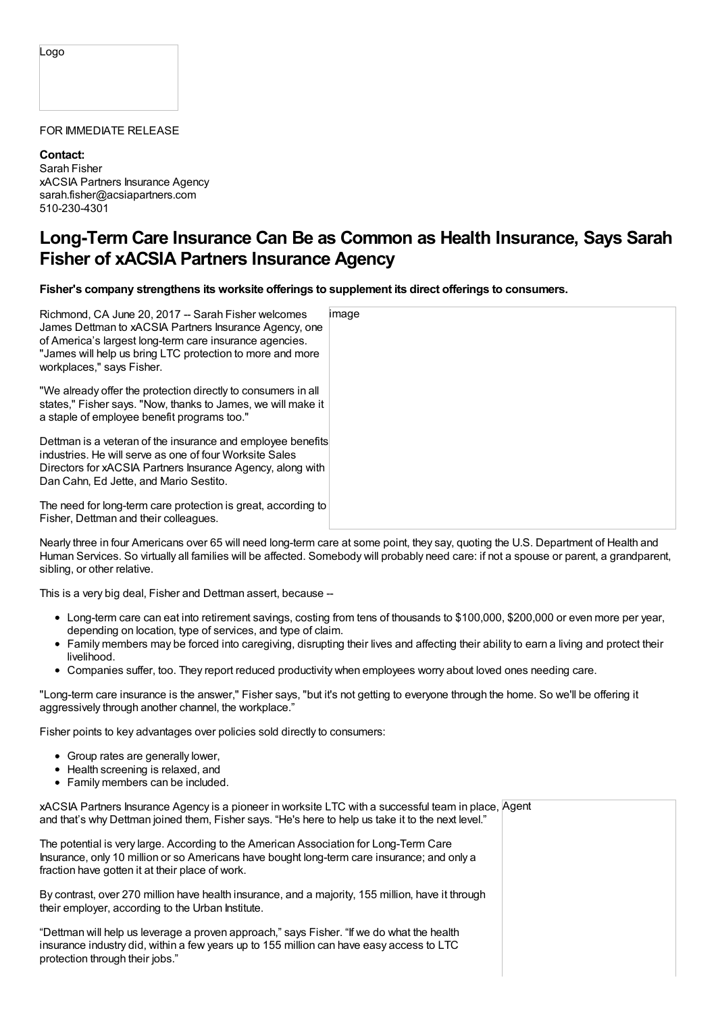## Logo

## FOR IMMEDIATE RELEASE

**Contact:** Sarah Fisher xACSIA Partners Insurance Agency sarah.fisher@acsiapartners.com 510-230-4301

## **Long-Term Care Insurance Can Be as Common as Health Insurance, Says Sarah Fisher of xACSIA Partners Insurance Agency**

**Fisher's company strengthens its worksite offerings to supplement its direct offerings to consumers.**

| Richmond, CA June 20, 2017 -- Sarah Fisher welcomes<br>James Dettman to xACSIA Partners Insurance Agency, one<br>of America's largest long-term care insurance agencies.<br>"James will help us bring LTC protection to more and more<br>workplaces," says Fisher. | image |
|--------------------------------------------------------------------------------------------------------------------------------------------------------------------------------------------------------------------------------------------------------------------|-------|
| "We already offer the protection directly to consumers in all<br>states," Fisher says. "Now, thanks to James, we will make it<br>a staple of employee benefit programs too."                                                                                       |       |
| Dettman is a veteran of the insurance and employee benefits<br>industries. He will serve as one of four Worksite Sales<br>Directors for xACSIA Partners Insurance Agency, along with<br>Dan Cahn, Ed Jette, and Mario Sestito.                                     |       |
| The need for long-term care protection is great, according to<br>Fisher, Dettman and their colleagues.                                                                                                                                                             |       |

Nearly three in four Americans over 65 will need long-term care at some point, they say, quoting the U.S. Department of Health and Human Services. So virtually all families will be affected. Somebody will probably need care: if not a spouse or parent, a grandparent, sibling, or other relative.

This is a very big deal, Fisher and Dettman assert, because --

- Long-term care can eat into retirement savings, costing from tens of thousands to \$100,000, \$200,000 or even more per year, depending on location, type of services, and type of claim.
- Family members may be forced into caregiving, disrupting their lives and affecting their ability to earn a living and protect their livelihood.
- Companies suffer, too. They report reduced productivity when employees worry about loved ones needing care.

"Long-term care insurance is the answer," Fisher says, "but it's not getting to everyone through the home. So we'll be offering it aggressively through another channel, the workplace."

Fisher points to key advantages over policies sold directly to consumers:

- Group rates are generally lower,
- Health screening is relaxed, and
- Family members can be included.

xACSIA Partners Insurance Agency is a pioneer in worksite LTC with a successful team in place, Agent and that's why Dettman joined them, Fisher says. "He's here to help us take it to the next level."

The potential is very large. According to the American Association for Long-Term Care Insurance, only 10 million or so Americans have bought long-term care insurance; and only a fraction have gotten it at their place of work.

By contrast, over 270 million have health insurance, and a majority, 155 million, have it through their employer, according to the Urban Institute.

"Dettman will help us leverage a proven approach," says Fisher. "If we do what the health insurance industry did, within a few years up to 155 million can have easy access to LTC protection through their jobs."